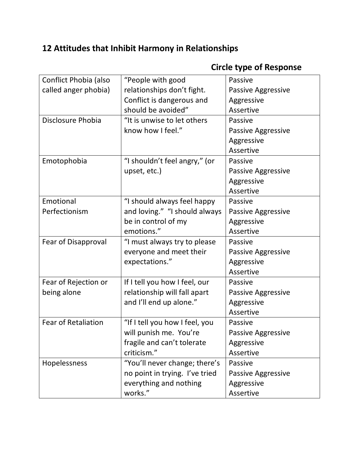## **12 Attitudes that Inhibit Harmony in Relationships**

| Conflict Phobia (also      | "People with good              | Passive                   |
|----------------------------|--------------------------------|---------------------------|
| called anger phobia)       | relationships don't fight.     | <b>Passive Aggressive</b> |
|                            | Conflict is dangerous and      | Aggressive                |
|                            | should be avoided"             | Assertive                 |
| Disclosure Phobia          | "It is unwise to let others    | Passive                   |
|                            | know how I feel."              | Passive Aggressive        |
|                            |                                | Aggressive                |
|                            |                                | Assertive                 |
| Emotophobia                | "I shouldn't feel angry," (or  | Passive                   |
|                            | upset, etc.)                   | Passive Aggressive        |
|                            |                                | Aggressive                |
|                            |                                | Assertive                 |
| Emotional                  | "I should always feel happy    | Passive                   |
| Perfectionism              | and loving." "I should always  | <b>Passive Aggressive</b> |
|                            | be in control of my            | Aggressive                |
|                            | emotions."                     | Assertive                 |
| Fear of Disapproval        | "I must always try to please   | Passive                   |
|                            | everyone and meet their        | <b>Passive Aggressive</b> |
|                            | expectations."                 | Aggressive                |
|                            |                                | Assertive                 |
| Fear of Rejection or       | If I tell you how I feel, our  | Passive                   |
| being alone                | relationship will fall apart   | Passive Aggressive        |
|                            | and I'll end up alone."        | Aggressive                |
|                            |                                | Assertive                 |
| <b>Fear of Retaliation</b> | "If I tell you how I feel, you | Passive                   |
|                            | will punish me. You're         | Passive Aggressive        |
|                            | fragile and can't tolerate     | Aggressive                |
|                            | criticism."                    | Assertive                 |
| Hopelessness               | "You'll never change; there's  | Passive                   |
|                            | no point in trying. I've tried | <b>Passive Aggressive</b> |
|                            | everything and nothing         | Aggressive                |
|                            | works."                        | Assertive                 |

## **Circle type of Response**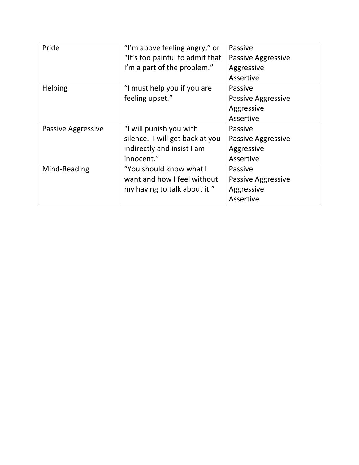| Pride              | "I'm above feeling angry," or   | Passive            |
|--------------------|---------------------------------|--------------------|
|                    | "It's too painful to admit that | Passive Aggressive |
|                    | I'm a part of the problem."     | Aggressive         |
|                    |                                 | Assertive          |
| Helping            | "I must help you if you are     | <b>Passive</b>     |
|                    | feeling upset."                 | Passive Aggressive |
|                    |                                 | Aggressive         |
|                    |                                 | Assertive          |
| Passive Aggressive | "I will punish you with         | Passive            |
|                    | silence. I will get back at you | Passive Aggressive |
|                    | indirectly and insist I am      | Aggressive         |
|                    | innocent."                      | Assertive          |
| Mind-Reading       | "You should know what I         | Passive            |
|                    | want and how I feel without     | Passive Aggressive |
|                    | my having to talk about it."    | Aggressive         |
|                    |                                 | Assertive          |